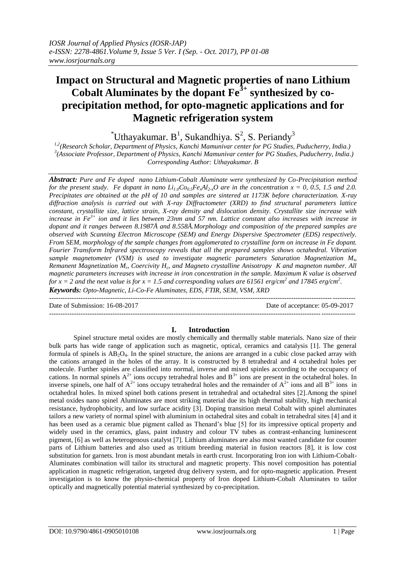# **Impact on Structural and Magnetic properties of nano Lithium Cobalt Aluminates by the dopant Fe3+ synthesized by coprecipitation method, for opto-magnetic applications and for Magnetic refrigeration system**

 $\mathrm{``Uthayakumar.~B}^{1}$ , Sukandhiya. S<sup>2</sup>, S. Periandy<sup>3</sup>

*1,2(Research Scholar, Department of Physics, Kanchi Mamunivar center for PG Studies, Puducherry, India.) 3 (Associate Professor, Department of Physics, Kanchi Mamunivar center for PG Studies, Puducherry, India*.*) Corresponding Author: Uthayakumar. B*

*Abstract: Pure and Fe doped nano Lithium-Cobalt Aluminate were synthesized by Co-Precipitation method for the present study. Fe dopant in nano*  $Li_{1,0}Co_{0,5}Fe_{x}Al_{2,x}O$  *are in the concentration*  $x = 0, 0.5, 1.5$  *and 2.0. Precipitates are obtained at the pH of 10 and samples are sintered at 1173K before characterization. X-ray diffraction analysis is carried out with X-ray Diffractometer (XRD) to find structural parameters lattice constant, crystallite size, lattice strain, X-ray density and dislocation density. Crystallite size increase with increase in Fe3+ ion and it lies between 23nm and 57 nm. Lattice constant also increases with increase in dopant and it ranges between 8.1987Å and 8.558Å.Morphology and composition of the prepared samples are observed with Scanning Electron Microscope (SEM) and Energy Dispersive Spectrometer (EDS) respectively. From SEM, morphology of the sample changes from agglomerated to crystalline form on increase in Fe dopant. Fourier Transform Infrared spectroscopy reveals that all the prepared samples shows octahedral. Vibration sample magnetometer (VSM) is used to investigate magnetic parameters Saturation Magnetization M<sup>s</sup> , Remanent Magnetization M<sub><i>r*</sub>, Coercivity H<sub>c</sub>, and Magneto crystalline Anisotropy K and magneton number. All *magnetic parameters increases with increase in iron concentration in the sample. Maximum K value is observed for x* = 2 and the next value is for x = 1.5 and corresponding values are 61561 erg/cm<sup>2</sup> and 17845 erg/cm<sup>2</sup>. *Keywords: Opto-Magnetic, Li-Co-Fe Aluminates, EDS, FTIR, SEM, VSM, XRD*

Date of Submission: 16-08-2017 Date of acceptance: 05-09-2017

# **I. Introduction**

---------------------------------------------------------------------------------------------------------------------------------------

Spinel structure metal oxides are mostly chemically and thermally stable materials. Nano size of their bulk parts has wide range of application such as magnetic, optical, ceramics and catalysis [1]. The general formula of spinels is  $AB_2O_4$ . In the spinel structure, the anions are arranged in a cubic close packed array with the cations arranged in the holes of the array. It is constructed by 8 tetrahedral and 4 octahedral holes per molecule. Further spinles are classified into normal, inverse and mixed spinles according to the occupancy of cations. In normal spinels  $A^{2+}$  ions occupy tetrahedral holes and  $B^{3+}$  ions are present in the octahedral holes. In inverse spinels, one half of  $A^{2+}$  ions occupy tetrahedral holes and the remainder of  $A^{2+}$  ions and all  $B^{3+}$  ions in octahedral holes. In mixed spinel both cations present in tetrahedral and octahedral sites [2].Among the spinel metal oxides nano spinel Aluminates are most striking material due its high thermal stability, high mechanical resistance, hydrophobicity, and low surface acidity [3]. Doping transition metal Cobalt with spinel aluminates tailors a new variety of normal spinel with aluminium in octahedral sites and cobalt in tetrahedral sites [4] and it has been used as a ceramic blue pigment called as Thenard's blue [5] for its impressive optical property and widely used in the ceramics, glass, paint industry and colour TV tubes as contrast-enhancing luminescent pigment, [6] as well as heterogenous catalyst [7]. Lithium aluminates are also most wanted candidate for counter parts of Lithium batteries and also used as tritium breeding material in fusion reactors [8], it is low cost substitution for garnets. Iron is most abundant metals in earth crust. Incorporating Iron ion with Lithium-Cobalt-Aluminates combination will tailor its structural and magnetic property. This novel composition has potential application in magnetic refrigeration, targeted drug delivery system, and for opto-magnetic application. Present investigation is to know the physio-chemical property of Iron doped Lithium-Cobalt Aluminates to tailor optically and magnetically potential material synthesized by co-precipitation.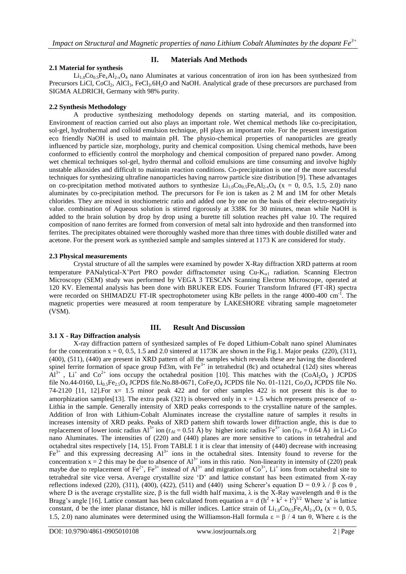## **2.1 Material for synthesis**

## **II. Materials And Methods**

 $Li_{1.0}Co_{0.5}Fe_{x}Al_{2x}O_{4}$  nano Aluminates at various concentration of iron ion has been synthesized from Precursors LiCl, CoCl<sub>2</sub>, AlCl<sub>3</sub>, FeCl<sub>3</sub>.6H<sub>2</sub>O and NaOH. Analytical grade of these precursors are purchased from SIGMA ALDRICH, Germany with 98% purity.

## **2.2 Synthesis Methodology**

A productive synthesizing methodology depends on starting material, and its composition. Environment of reaction carried out also plays an important role. Wet chemical methods like co-precipitation, sol-gel, hydrothermal and colloid emulsion technique, pH plays an important role. For the present investigation eco friendly NaOH is used to maintain pH. The physio-chemical properties of nanoparticles are greatly influenced by particle size, morphology, purity and chemical composition. Using chemical methods, have been conformed to efficiently control the morphology and chemical composition of prepared nano powder. Among wet chemical techniques sol-gel, hydro thermal and colloid emulsions are time consuming and involve highly unstable alkoxides and difficult to maintain reaction conditions. Co-precipitation is one of the more successful techniques for synthesizing ultrafine nanoparticles having narrow particle size distribution [9]. These advantages on co-precipitation method motivated authors to synthesize  $Li_{1.0}Co_{0.5}Fe_{x}Al_{2.x}O_{4}$  (x = 0, 0.5, 1.5, 2.0) nano aluminates by co-precipitation method. The precursors for Fe ion is taken as 2 M and 1M for other Metals chlorides. They are mixed in stochiometric ratio and added one by one on the basis of their electro-negativity value. combination of Aqueous solution is stirred rigorously at 338K for 30 minutes, mean while NaOH is added to the brain solution by drop by drop using a burette till solution reaches pH value 10. The required composition of nano ferrites are formed from conversion of metal salt into hydroxide and then transformed into ferrites. The precipitates obtained were thoroughly washed more than three times with double distilled water and acetone. For the present work as synthezied sample and samples sintered at 1173 K are considered for study.

## **2.3 Physical measurements**

Crystal structure of all the samples were examined by powder X-Ray diffraction XRD patterns at room temperature PANalytical-X'Pert PRO powder diffractometer using  $Cu-K_{\alpha1}$  radiation. Scanning Electron Microscopy (SEM) study was performed by VEGA 3 TESCAN Scanning Electron Microscope, operated at 120 KV. Elemental analysis has been done with BRUKER EDS. Fourier Transform Infrared (FT-IR) spectra were recorded on SHIMADZU FT-IR spectrophotometer using KBr pellets in the range 4000-400 cm<sup>-I</sup>. The magnetic properties were measured at room temperature by LAKESHORE vibrating sample magnetometer (VSM).

# **III. Result And Discussion**

**3.1 X - Ray Diffraction analysis**  X-ray diffraction pattern of synthesized samples of Fe doped Lithium-Cobalt nano spinel Aluminates for the concentration  $x = 0$ , 0.5, 1.5 and 2.0 sintered at 1173K are shown in the Fig.1. Major peaks (220), (311), (400), (511), (440) are present in XRD pattern of all the samples which reveals these are having the disordered spinel ferrite formation of space group  $Fd3m$ , with  $Fe^{3+}$  in tetrahedral (8c) and octahedral (12d) sites whereas  $\overline{Al}^{3+}$ , Li<sup>+</sup> and Co<sup>2+</sup> ions occupy the octahedral position [10]. This matches with the (CoAl<sub>2</sub>O<sub>4</sub>) JCPDS file No.44-0160,  $Li_{0.5}Fe_{2.5}O_4$  JCPDS file.No.88-0671, CoFe<sub>2</sub>O<sub>4</sub> JCPDS file No. 01-1121, Co<sub>3</sub>O<sub>4</sub> JCPDS file No. 74-2120 [11, 12].For x= 1.5 minor peak 422 and for other samples 422 is not present this is due to amorphization samples[13]. The extra peak (321) is observed only in  $x = 1.5$  which represents presence of  $\alpha$ -Lithia in the sample. Generally intensity of XRD peaks corresponds to the crystalline nature of the samples. Addition of Iron with Lithium-Cobalt Aluminates increase the crystalline nature of samples it results in increases intensity of XRD peaks. Peaks of XRD pattern shift towards lower diffraction angle, this is due to replacement of lower ionic radius Al<sup>3+</sup> ion (r<sub>Al</sub> = 0.51 Å) by higher ionic radius Fe<sup>3+</sup> ion (r<sub>Fe</sub> = 0.64 Å) in Li-Co nano Aluminates. The intensities of (220) and (440) planes are more sensitive to cations in tetrahedral and octahedral sites respectively [14, 15]. From TABLE 1 it is clear that intensity of (440) decrease with increasing  $Fe<sup>3+</sup>$  and this expressing decreasing  $Al<sup>3+</sup>$  ions in the octahedral sites. Intensity found to reverse for the concentration  $x = 2$  this may be due to absence of  $Al^{3+}$  ions in this ratio. Non-linearity in intensity of (220) peak maybe due to replacement of Fe<sup>2+</sup>, Fe<sup>3+</sup> instead of  $Al^{3+}$  and migration of Co<sup>3+</sup>, Li<sup>+</sup> ions from octahedral site to tetrahedral site vice versa. Average crystallite size 'D' and lattice constant has been estimated from X-ray reflections indexed (220), (311), (400), (422), (511) and (440) using Scherer's equation  $D = 0.9 \lambda / \beta \cos \theta$ , where D is the average crystallite size,  $β$  is the full width half maxima,  $λ$  is the X-Ray wavelength and  $θ$  is the Bragg's angle [16]. Lattice constant has been calculated from equation  $a = d (h^2 + k^2 + l^2)^{1/2}$  Where 'a' is lattice constant, d be the inter planar distance, hkl is miller indices. Lattice strain of  $Li_{1.0}CO_{0.5}Fe_{x}Al_{2-x}O_{4}$  (x = 0, 0.5, 1.5, 2.0) nano aluminates were determined using the Williamson-Hall formula  $ε = β / 4$  tan  $θ$ , Where  $ε$  is the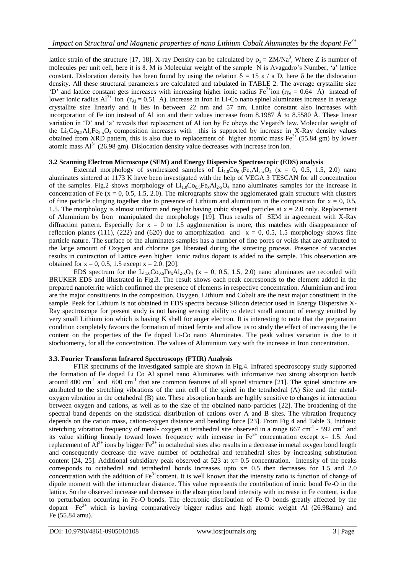lattice strain of the structure [17, 18]. X-ray Density can be calculated by  $\rho_x = ZM/Na^3$ , Where Z is number of molecules per unit cell, here it is 8. M is Molecular weight of the sample N is Avagadro's Number, 'a' lattice constant. Dislocation density has been found by using the relation  $\delta = 15 \epsilon / a$  D, here  $\delta$  be the dislocation density. All these structural parameters are calculated and tabulated in TABLE 2. The average crystallite size 'D' and lattice constant gets increases with increasing higher ionic radius  $Fe^{3+}$ ion ( $r_{Fe} = 0.64$  Å) instead of lower ionic radius  $AI^{3+}$  ion  $(r_{Al} = 0.51 \text{ Å})$ . Increase in Iron in Li-Co nano spinel aluminates increase in average crystallite size linearly and it lies in between 22 nm and 57 nm. Lattice constant also increases with incorporation of Fe ion instead of Al ion and their values increase from 8.1987 Å to 8.5580 Å. These linear variation in 'D' and 'a' reveals that replacement of Al ion by Fe obeys the Vegard's law. Molecular weight of the  $Li_1Co_{0.5}Al_xFe_{2x}O_4$  composition increases with this is supported by increase in X-Ray density values obtained from XRD pattern, this is also due to replacement of higher atomic mass  $Fe<sup>3+</sup>$  (55.84 gm) by lower atomic mass  $Al^{3+}$  (26.98 gm). Dislocation density value decreases with increase iron ion.

## **3.2 Scanning Electron Microscope (SEM) and Energy Dispersive Spectroscopic (EDS) analysis**

External morphology of synthesized samples of  $Li_{1.0}Co_{0.5}Fe_{x}Al_{2-x}O_{4}$  (x = 0, 0.5, 1.5, 2.0) nano aluminates sintered at 1173 K have been investigated with the help of VEGA 3 TESCAN for all concentration of the samples. Fig.2 shows morphology of  $Li_{1.0}Co_{0.5}Fe_xAl_{2x}O_4$  nano aluminates samples for the increase in concentration of Fe ( $x = 0, 0.5, 1.5, 2.0$ ). The micrographs show the agglomerated grain structure with clusters of fine particle clinging together due to presence of Lithium and aluminium in the composition for  $x = 0, 0.5$ , 1.5. The morphology is almost uniform and regular having cubic shaped particles at x = 2.0 only. Replacement of Aluminium by Iron manipulated the morphology [19]. Thus results of SEM in agreement with X-Ray diffraction pattern. Especially for  $x = 0$  to 1.5 agglomeration is more, this matches with disappearance of reflection planes (111), (222) and (620) due to amorphization and  $x = 0$ , 0.5, 1.5 morphology shows fine particle nature. The surface of the aluminates samples has a number of fine pores or voids that are attributed to the large amount of Oxygen and chlorine gas liberated during the sintering process. Presence of vacancies results in contraction of Lattice even higher ionic radius dopant is added to the sample. This observation are obtained for  $x = 0, 0.5, 1.5$  except  $x = 2.0$ . [20].

EDS spectrum for the  $Li_{1.0}Co_{0.5}Fe_{x}Al_{2x}O_{4}$  (x = 0, 0.5, 1.5, 2.0) nano aluminates are recorded with BRUKER EDS and illustrated in Fig.3. The result shows each peak corresponds to the element added in the prepared nanoferrite which confirmed the presence of elements in respective concentration. Aluminium and iron are the major constituents in the composition. Oxygen, Lithium and Cobalt are the next major constituent in the sample. Peak for Lithium is not obtained in EDS spectra because Silicon detector used in Energy Dispersive X-Ray spectroscope for present study is not having sensing ability to detect small amount of energy emitted by very small Lithium ion which is having K shell for auger electron. It is interesting to note that the preparation condition completely favours the formation of mixed ferrite and allow us to study the effect of increasing the Fe content on the properties of the Fe doped Li-Co nano Aluminates. The peak values variation is due to it stochiometry, for all the concentration. The values of Aluminium vary with the increase in Iron concentration.

#### **3.3. Fourier Transform Infrared Spectroscopy (FTIR) Analysis**

FTIR spectrums of the investigated sample are shown in Fig.4. Infrared spectroscopy study supported the formation of Fe doped Li Co Al spinel nano Aluminates with informative two strong absorption bands around  $400 \text{ cm}^{-1}$  and  $600 \text{ cm}^{-1}$  that are common features of all spinel structure [21]. The spinel structure are attributed to the stretching vibrations of the unit cell of the spinel in the tetrahedral (A) Site and the metaloxygen vibration in the octahedral (B) site. These absorption bands are highly sensitive to changes in interaction between oxygen and cations, as well as to the size of the obtained nano-particles [22]. The broadening of the spectral band depends on the statistical distribution of cations over A and B sites. The vibration frequency depends on the cation mass, cation-oxygen distance and bending force [23]. From Fig 4 and Table 3, Intrinsic stretching vibration frequency of metal- oxygen at tetrahedral site observed in a range  $667 \text{ cm}^{-1}$  - 592 cm<sup>-1</sup> and its value shifting linearly toward lower frequency with increase in  $Fe<sup>3+</sup>$  concentration except  $x= 1.5$ . And replacement of  $Al^{3+}$  ions by bigger  $Fe^{3+}$  in octahedral sites also results in a decrease in metal oxygen bond length and consequently decrease the wave number of octahedral and tetrahedral sites by increasing substitution content [24, 25]. Additional subsidiary peak observed at 523 at  $x = 0.5$  concentration. Intensity of the peaks corresponds to octahedral and tetrahedral bonds increases upto  $x = 0.5$  then decreases for 1.5 and 2.0 concentration with the addition of  $Fe^{3+}$ content. It is well known that the intensity ratio is function of change of dipole moment with the internuclear distance. This value represents the contribution of ionic bond Fe-O in the lattice. So the observed increase and decrease in the absorption band intensity with increase in Fe content, is due to perturbation occurring in Fe-O bonds. The electronic distribution of Fe-O bonds greatly affected by the dopant  $Fe<sup>3+</sup>$  which is having comparatively bigger radius and high atomic weight Al (26.98amu) and Fe (55.84 amu).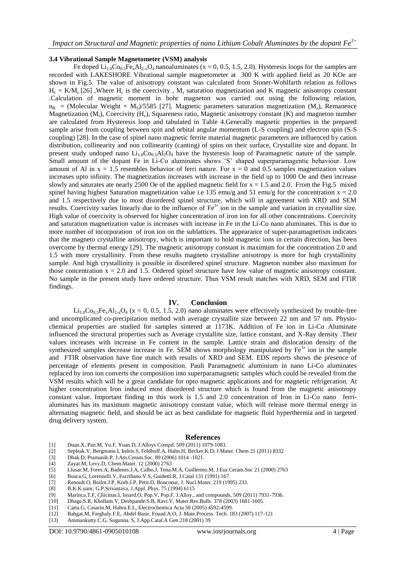#### **3.4 Vibrational Sample Magnetometer (VSM) analysis**

Fe doped  $Li_{1,0}Co_{0.5}Fe_xAl_{2-x}O_4$  nanoaluminates (x = 0, 0.5, 1.5, 2.0). Hysteresis loops for the samples are recorded with LAKESHORE Vibrational sample magnetometer at 300 K with applied field as 20 KOe are shown in Fig.5. The value of anisotropy constant was calculated from Stoner-Wohlfarth relation as follows  $H_c = K/M_s$  [26] , Where  $H_c$  is the coercivity, M<sub>s</sub> saturation magnetization and K magnetic anisotropy constant .Calculation of magnetic moment in bohr magneton was carried out using the following relation,  $n_B$  = (Molecular Weight  $\times$  M<sub>S</sub>)/5585 [27]. Magnetic parameters saturation magnetization (M<sub>s</sub>), Remanence Magnetization  $(M_r)$ , Coercivity  $(H_c)$ , Squareness ratio, Magnetic anisotropy constant  $(K)$  and magneton number are calculated from Hysteresis loop and tabulated in Table 4.Generally magnetic properties in the prepared sample arise from coupling between spin and orbital angular momentum (L-S coupling) and electron spin (S-S coupling) [28]. In the case of spinel nano magnetic ferrite material magnetic parameters are influenced by cation distribution, collinearity and non collinearity (canting) of spins on their surface, Crystallite size and dopant. In present study undoped nano  $Li_{1.0}Co_{0.5}Al_2O_4$  have the hysteresis loop of Paramagnetic nature of the sample. Small amount of the dopant Fe in Li-Co aluminates shows 'S' shaped superparamagentic behaviour. Low amount of Al in  $x = 1.5$  resembles behavior of ferri nature. For  $x = 0$  and 0.5 samples magnetization values increases upto infinity. The magnetization increases with increase in the field up to 1000 Oe and then increase slowly and saturates ate nearly 2500 Oe of the applied magnetic field for  $x = 1.5$  and 2.0. From the Fig.5 mixed spinel having highest Saturation magnetization value i.e 135 emu/g and 51 emu/g for the concentration  $x = 2.0$ and 1.5 respectively due to most disordered spinel structure, which will in agreement with XRD and SEM results. Coercivity varies linearly due to the influence of  $Fe<sup>3+</sup>$  ion in the sample and variation in crystallite size. High value of coercivity is observed for higher concentration of iron ion for all other concentrations. Coercivity and saturation magnetization value is increases with increase in Fe in the Li-Co nano aluminates. This is due to more number of incorporation of iron ion on the sublattices. The appearance of super-paramagnetism indicates that the magneto crystalline anisotropy, which is important to hold magnetic ions in certain direction, has been overcome by thermal energy [29]. The magnetic anisotropy constant is maximum for the concentration 2.0 and 1.5 with more crystallinity. From these results magneto crystalline anisotropy is more for high crystallinity sample. And high crystallinity is possible in disordered spinel structure. Magneton number also maximum for those concentration  $x = 2.0$  and 1.5. Ordered spinel structure have low value of magnetic anisotropy constant. No sample in the present study have ordered structure. Thus VSM result matches with XRD, SEM and FTIR findings.

#### **IV. Conclusion**

 $Li_{1.0}Co_{0.5}Fe_xAl_{2x}O_4$  (x = 0, 0.5, 1.5, 2.0) nano aluminates were effectively synthesized by trouble-free and uncomplicated co-precipitation method with average crystallite size between 22 nm and 57 nm. Physiochemical properties are studied for samples sintered at 1173K. Addition of Fe ion in Li-Co Aluminate influenced the structural properties such as Average crystallite size, lattice constant, and X-Ray density .Their values increases with increase in Fe content in the sample. Lattice strain and dislocation density of the synthesized samples decrease increase in Fe. SEM shows morphology manipulated by  $Fe<sup>3+</sup>$  ion in the sample and FTIR observation have fine match with results of XRD and SEM. EDS reports shows the presence of percentage of elements present in composition. Pauli Paramagnetic aluminium in nano Li-Co aluminates replaced by iron ion converts the composition into superparamagnetic samples which could be revealed from the VSM results which will be a great candidate for opto magnetic applications and for magnetic refrigeration. At higher concentration Iron induced most disordered structure which is found from the magnetic anisotropy constant value. Important finding in this work is 1.5 and 2.0 concentration of Iron in Li-Co nano ferrialuminates has its maximum magnetic anisotropy constant value, which will release more thermal energy in alternating magnetic field, and should be act as best candidate for magnetic fluid hyperthermia and in targeted drug delivery system.

#### **References**

- [1] Duan.X, Pan.M, Yu.F, Yuan.D, J.Alloys Compd. 509 (2011) 1079-1083.
- [2] Sepleak.V, Bergmann.I, Indris.S, Feldhoff.A, Hahn.H, Becker.K.D, J.Mater. Chem 21 (2011) 8332
- [3] Dhak.D, Pramanik.P, J.Am.Ceram.Soc. 89 (2006) 1014 -1021.
- [4] Zayat.M, Levy.D, Chem.Mater. 12 (2000) 2763
- [5] Llusar.M, Fores.A, Badenes.J.A, Calbo.J, Tena.M.A, Guillermo.M, J.Eur.Ceram.Soc 21 (2000) 2763
- [6] Busca.G, Lorenzelli.V, Escribano.V.S, Guidetti.R, J.Catal 131 (1991) 167.
- [7] Renoult.O, Boilot.J.P, Korb.J.P, Petit.D, Boncoeur, J. Nucl.Mater. 219 (1995) 233.
- [8] B.K.K.uanr, G.P.Srivastava, J.Appl. Phys. 75 (1994) 6115<br>[9] Marinca.T.F, Chicinas.I, Isnard.O, Pop.V, Pop.F, J.Alloy.,
- Marinca.T.F, Chicinas.I, Isnard.O, Pop.V, Pop.F, J.Alloy., and compounds, 509 (2011) 7931-7936.
- [10] Dhage.S.R, Khollam.Y, Deshpande.S.B, Ravi.V, Mater.Res.Bulls. 378 (2003) 1601-1605.
- [11] Carta.G, Casarin.M, Habra.E.L, Electrochemica Acta 50 (2005) 4592-4599.
- [12] Bahgat.M, Farghaly.F.E, Abdel Basir, Fouad.A.O, J. Mate.Process. Tech. 183 (2007) 117-121
- [13] Ammankutty.C.G, Sugunna. S, J.App.Catal.A Gen 218 (2001) 39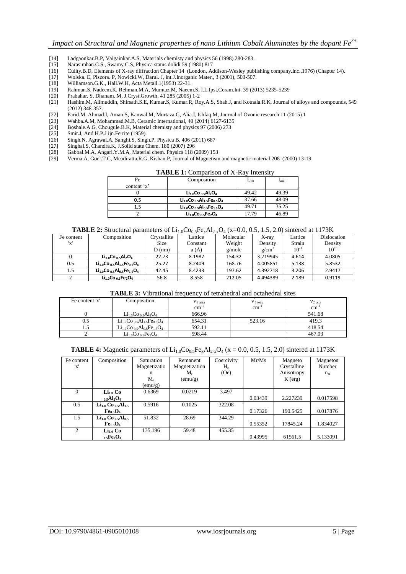- [14] Ladgaonkar.B.P, Vaigainkar.A.S, Materials chemisty and physics 56 (1998) 280-283.
- [15] Narasimhan.C.S, Swamy.C.S, Physica status dolidi 59 (1980) 817<br>[16] Culity.B.D, Elements of X-ray diffraction Chapter 14 (London, Ac
- [16] Culity.B.D, Elements of X-ray diffraction Chapter 14 (London, Addison-Wesley publishing company.Inc.,1976) (Chapter 14).
- [17] Wolska. E, Piszora. P, Nowicki.W, Darul. J, Int.J.Inorganic Mater., 3 (2001), 503-507.
- [18] Williamson.G.K., Hall.W.H, Acta Metall.1(1953) 22-31.
- [19] Rahman.S, Nadeem.K, Rehman.M.A, Mumtaz.M, Naeem.S, I.L.Ipst,Ceram.Int. 39 (2013) 5235-5239<br>[20] Prabahar. S, Dhanam. M, J.Cryst.Growth. 41 285 (2005) 1-2
- [20] Prabahar. S, Dhanam. M, J.Cryst.Growth, 41 285 (2005) 1-2
- [21] Hashim.M, Alimuddin, Shirsath.S.E, Kumar.S, Kumar.R, Roy.A.S, Shah.J, and Kotnala.R.K, Journal of alloys and compounds, 549 (2012) 348-357.
- [22] Farid.M, Ahmad.I, Aman.S, Kanwal.M, Murtaza.G, Alia.I, Ishfaq.M, Journal of Ovonic research 11 (2015) 1
- [23] Wahba.A.M, Mohammad.M.B, Ceramic International, 40 (2014) 6127-6135<br>[24] Boshale.A.G, Chougule.B.K, Material chemisty and physics 97 (2006) 273
- [24] Boshale.A.G, Chougule.B.K, Material chemisty and physics 97 (2006) 273 [25] Smit.J, And H.P.J ijn.Ferrite (1959)
- [25] Smit.J, And H.P.J ijn.Ferrite (1959)<br>[26] Singh.N, Agrawal.A, Sanghi.S, Sing
- [26] Singh.N, Agrawal.A, Sanghi.S, Singh.P, Physica B, 406 (2011) 687<br>[27] Singhal.S, Chandra.K, J.Solid state Chem. 180 (2007) 296
- [27] Singhal.S, Chandra.K, J.Solid state Chem. 180 (2007) 296
- [28] Gabbal.M.A, Angari.Y.M.A, Material chem. Physics 118 (2009) 153
- [29] Verma.A, Goel.T.C, Meadiratta.R.G, Kishan.P, Journal of Magnetism and magnetic material 208 (2000) 13-19.

#### **TABLE 1:** Comparison of X-Ray Intensity

| Fe          | Composition                           | $I_{220}$ | $I_{440}$ |
|-------------|---------------------------------------|-----------|-----------|
| content 'x' |                                       |           |           |
|             | $Li_{1.0}Co_{0.5}Al_2O_4$             | 49.42     | 49.39     |
| 0.5         | $Li_{1.0}Co_{0.5}Al_{1.5}Fe_{0.5}O_4$ | 37.66     | 48.09     |
| 1.5         | $Li_{1.0}Co_{0.5}Al_{0.5}Fe_{1.5}O_4$ | 49.71     | 35.25     |
|             | $Li_{1.0}Co_{0.5}Fe_2O_4$             | 17.79     | 46.89     |

**TABLE 2:** Structural parameters of  $Li_{10}Co_{05}Fe_xAl_{2x}O_4$  (x=0.0, 0.5, 1.5, 2.0) sintered at 1173K

|            |                                       |             | .<br>.   | . .       |                   |           |             |
|------------|---------------------------------------|-------------|----------|-----------|-------------------|-----------|-------------|
| Fe content | Composition                           | Crystallite | Lattice  | Molecular | X-ray             | Lattice   | Dislocation |
| 'x'        |                                       | <b>Size</b> | Constant | Weight    | Densitv           | Strain    | Density     |
|            |                                       | $D$ (nm)    | a(A)     | g/mole    | g/cm <sup>3</sup> | $10^{-3}$ | $10^{15}$   |
|            | $Li1.0Co0.5Al2O4$                     | 22.73       | 8.1987   | 154.32    | 3.719945          | 4.614     | 4.0805      |
| 0.5        | $Li_{1.0}Co_{0.5}Al_{1.5}Fe_{0.5}O_4$ | 25.27       | 8.2409   | 168.76    | 4.005851          | 5.138     | 5.8532      |
| 1.5        | $Li_{1.0}Co_{0.5}Al_{0.5}Fe_{1.5}O_4$ | 42.45       | 8.4233   | 197.62    | 4.392718          | 3.206     | 2.9417      |
|            | $Li_{1.0}Co_{0.5}Fe_2O_4$             | 56.8        | 8.558    | 212.05    | 4.494389          | 2.189     | 0.9119      |

**TABLE 3:** Vibrational frequency of tetrahedral and octahedral sites

| Fe content 'x' | Composition                           | $V1$ tetra<br>$cm-$ | $V_1$ tetra<br>$\text{cm}^{-1}$ | $V2$ octa<br>cm <sup>2</sup> |
|----------------|---------------------------------------|---------------------|---------------------------------|------------------------------|
|                | $Li_{1.0}Co_{0.5}Al_2O_4$             | 666.96              |                                 | 541.68                       |
| 0.5            | $Li_{1,0}Co_{0.5}Al_{1.5}Fe_{0.5}O_4$ | 654.31              | 523.16                          | 419.3                        |
| ن د            | $Li_{1.0}Co_{0.5}Al_{0.5}Fe_{1.5}O_4$ | 592.11              |                                 | 418.54                       |
|                | $Li_{1.0}Co_{0.5}Fe_2O_4$             | 598.44              |                                 | 467.03                       |

#### **TABLE 4:** Magnetic parameters of  $Li_{1.0}Co_{0.5}Fe_{x}Al_{2-x}O_{4}$  (x = 0.0, 0.5, 1.5, 2.0) sintered at 1173K

| Fe content | Composition                                    | Saturation   | Remanent      | Coercivity | Mr/Ms   | Magneto     | Magneton       |
|------------|------------------------------------------------|--------------|---------------|------------|---------|-------------|----------------|
| 'x'        |                                                | Magnetizatio | Magnetization | $H_c$      |         | Crystalline | Number         |
|            |                                                | n            | $M_r$         | (Oe)       |         | Anisotropy  | n <sub>B</sub> |
|            |                                                | $M_{\rm s}$  | (emu/g)       |            |         | K(erg)      |                |
|            |                                                | (emu/g)      |               |            |         |             |                |
| $\Omega$   | Li <sub>1.0</sub> Co                           | 0.6369       | 0.0219        | 3.497      |         |             |                |
|            | $_{0.5}$ Al <sub>2</sub> O <sub>4</sub>        |              |               |            | 0.03439 | 2.227239    | 0.017598       |
| 0.5        | $Li_{1.0}$ Co <sub>0.5</sub> Al <sub>1.5</sub> | 0.5916       | 0.1025        | 322.08     |         |             |                |
|            | Fe <sub>0.5</sub> O <sub>4</sub>               |              |               |            | 0.17326 | 190.5425    | 0.017876       |
| 1.5        | $Li1.0 Co0.5Al0.5$                             | 51.832       | 28.69         | 344.29     |         |             |                |
|            | Fe <sub>1.5</sub> O <sub>4</sub>               |              |               |            | 0.55352 | 17845.24    | 1.834027       |
| 2          | Li <sub>1.0</sub> Co                           | 135.196      | 59.48         | 455.35     |         |             |                |
|            | $_{0.5}Fe2O4$                                  |              |               |            | 0.43995 | 61561.5     | 5.133091       |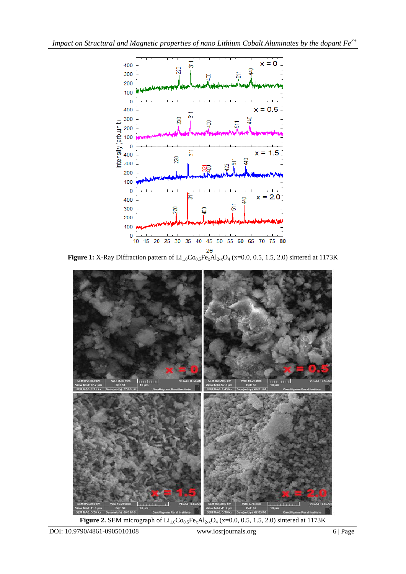

**Figure 1:** X-Ray Diffraction pattern of  $Li_{1.0}Co_{0.5}Fe_{x}Al_{2-x}O_{4}$  (x=0.0, 0.5, 1.5, 2.0) sintered at 1173K



**Figure 2.** SEM micrograph of  $Li_{1.0}Co_{0.5}Fe_xAl_{2-x}O_4$  (x=0.0, 0.5, 1.5, 2.0) sintered at 1173K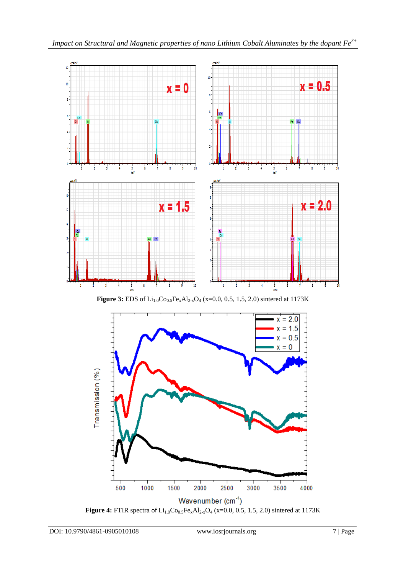

**Figure 3:** EDS of  $Li_{1.0}Co_{0.5}Fe_xAl_{2.x}O_4$  (x=0.0, 0.5, 1.5, 2.0) sintered at 1173K



**Figure 4:** FTIR spectra of  $Li_{1.0}Co_{0.5}Fe_xAl_{2-x}O_4$  (x=0.0, 0.5, 1.5, 2.0) sintered at 1173K